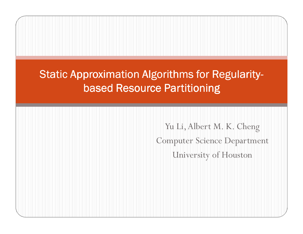### Static Approximation Algorithms for Regularitybased Resource Partitioning

Yu Li, Albert M. K. ChengComputer Science DepartmentUniversity of Houston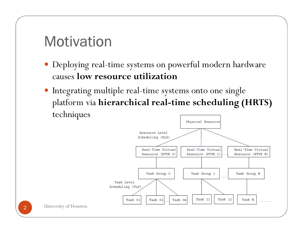### **Motivation**

- Deploying real-time systems on powerful modern hardware causes **low resource utilization**
- Integrating multiple real-time systems onto one single <sup>p</sup>latform via **hierarchical real-time scheduling (HRTS)**  techniques



2 University of Houston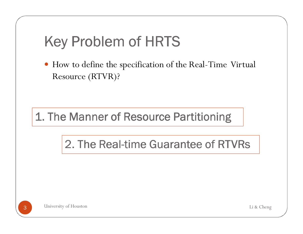### Key Problem of HRTS

 How to define the specification of the Real-Time Virtual Resource (RTVR)?

1. The Manner of Resource Partitioning

2. The Real-time Guarantee of RTVRs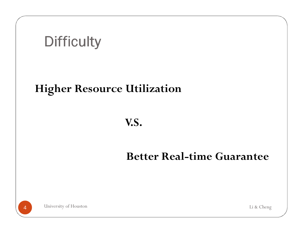### **Difficulty**

#### **Higher Resource Utilization**

#### **V.S.**

#### **Better Real-time Guarantee**

University of Houston4 University of Houston Li & Cheng

4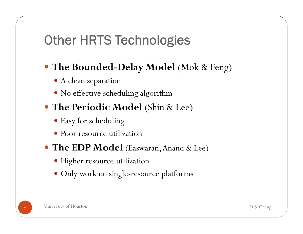### Other HRTS Technologies

## **The Bounded-Delay Model** (Mok & Feng)

- A clean separation
- No effective scheduling algorithm

### **The Periodic Model** (Shin & Lee)

- Easy for scheduling
- Poor resource utilization
- **The EDP Model** (Easwaran, Anand & Lee)
	- Higher resource utilization
	- Only work on single-resource platforms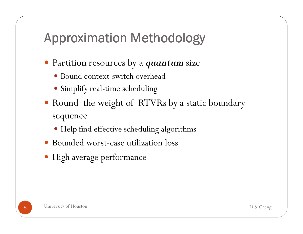### Approximation Methodology

- Partition resources by a *quantum* size
	- Bound context-switch overhead
	- Simplify real-time scheduling
- Round the weight of RTVRs by a static boundary sequence
	- Help find effective scheduling algorithms
- Bounded worst-case utilization loss
- High average performance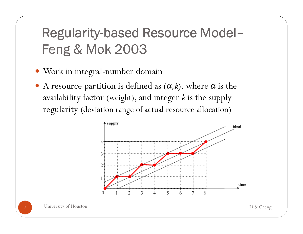### Regularity-based Resource Model– Feng & Mok <sup>2003</sup>

- Work in integral-number domain
- A resource partition is defined as (*<sup>α</sup>,<sup>k</sup>*), where *<sup>α</sup>* is the availability factor (weight), and integer *<sup>k</sup>* is the supply regularity (deviation range of actual resource allocation)



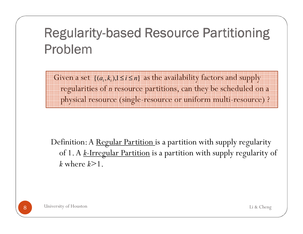### Regularity-based Resource Partitioning Problem

Given a set  $\{(a_i, k_i)\}$ ,  $1 \le i \le n\}$  as the availability factors and supply regularities of *n* resource partitions, can they be scheduled on a physical resource (single-resource or uniform multi-resource) ?

Definition: A Regular Partition is a partition with supply regularity of 1. A *k*-Irregular Partition is a partition with supply regularity of *k* where *k*>1.

8 University of Houston **8** University of Houston Li & Cheng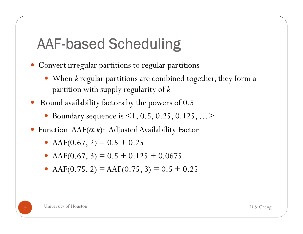# AAF-based Scheduling

- Convert irregular partitions to regular partitions
	- When *<sup>k</sup>* regular partitions are combined together, they form a partition with supply regularity of *<sup>k</sup>*
- $\bullet$  Round availability factors by the powers of 0.5
	- Boundary sequence is <1, 0.5, 0.25, 0.125, …>
- Function AAF(*<sup>α</sup>,<sup>k</sup>*): Adjusted Availability Factor
	- AAF(0.67, 2) =  $0.5 + 0.25$
	- AAF(0.67, 3) =  $0.5 + 0.125 + 0.0675$
	- AAF(0.75, 2) = AAF(0.75, 3) =  $0.5 + 0.25$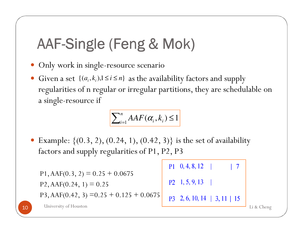# AAF-Single (Feng & Mok)

- Only work in single-resource scenario
- $\bullet$ • Given a set  $\{(a_i, k_i), 1 \le i \le n\}$  as the availability factors and supply regularities of n regular or irregular partitions, they are schedulable on a single-resource if

# $\sum_{i=1}^{n} AAF(\alpha_i, k_i) \leq 1$

 $\bullet$ Example:  $\{(0.3, 2), (0.24, 1), (0.42, 3)\}\$ is the set of availability factors and supply regularities of P1, P2, P3

```
P1 \quad 0, 4, 8, 12\overline{7}P1, AAF(0.3, 2) = 0.25 + 0.0675P2 \quad 1, 5, 9, 13P2, AAF(0.24, 1) = 0.25P3, AAF(0.42, 3) = 0.25 + 0.125 + 0.0675P3 2, 6, 10, 14 | 3, 11 | 15
10 University of Houston
C University of Houston Li & Cheng
```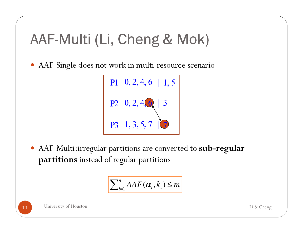### AAF-Multi (Li, Cheng & Mok)

AAF-Single does not work in multi-resource scenario



 AAF-Multi:irregular partitions are converted to **sub-regular partitions** instead of regular partitions

$$
\sum_{i=1}^{n} AAF(\alpha_i, k_i) \leq m
$$

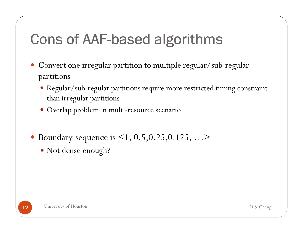## Cons of AAF-based algorithms

- $\bullet$  Convert one irregular partition to multiple regular/sub-regular partitions
	- Regular/sub-regular partitions require more restricted timing constraint than irregular partitions
	- Overlap problem in multi-resource scenario
- Boundary sequence is  $\leq 1, 0.5, 0.25, 0.125, ...$ 
	- Not dense enough?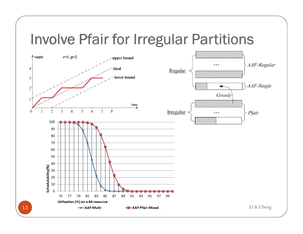### Involve Pfair for Irregular Partitions

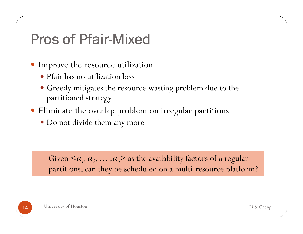### Pros of Pfair-Mixed

- Improve the resource utilization
	- Pfair has no utilization loss
	- Greedy mitigates the resource wasting problem due to the partitioned strategy
- Eliminate the overlap problem on irregular partitions
	- Do not divide them any more

Given  $\langle \alpha_1, \alpha_2, \ldots, \alpha_n \rangle$  as the availability factors of *n* regular partitions, can they be scheduled on a multi-resource platform?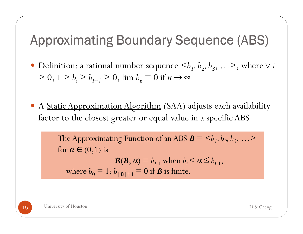### Approximating Boundary Sequence (ABS)

- Definition: a rational number sequence  $\langle b_1, b_2, b_3, \ldots \rangle$ , where  $\forall i$  $> 0, 1 > b_i > b_{i+1} > 0$ ,  $\lim b_n = 0$  if  $n \to \infty$
- A <u>Static Approximation Algorithm</u> (SAA) adjusts each availability<br>factor to the closest greater or equal value in a specific ARS factor to the closest greater or equal value in a specific ABS

The <u>Approximating Function</u> of an ABS  $\mathbf{B} = \langle b_1, b_2, b_3, \ldots \rangle$ for  $\alpha \in (0,1)$  is

 $R(B, \alpha) \equiv b_{i-1}$  when  $b_i \leq \alpha \leq b_{i-1}$ , where  $b_0 \equiv 1$ ;  $b_{|\mathcal{B}|+1} \equiv 0$  if  $\mathcal{B}$  is finite.

15 University of Houston 5 University of Houston Li & Cheng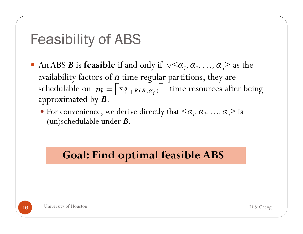### Feasibility of ABS

- An ABS *B* is **feasible** if and only if  $\forall \lt \alpha_1, \alpha_2, ..., \alpha_n \gt$  as the availability factors of  $\overline{n}$  time regular partitions, they are schedulable on  $m = \lceil \sum_{i=1}^{n} R(B, \alpha_i) \rceil$  time resources after being approximated by *B*. *n* $\hat{m} = \sum_{i=1}^{n} R(B, \alpha_i)$ 
	- For convenience, we derive directly that  $\langle \alpha_1, \alpha_2, ..., \alpha_n \rangle$  is (un)schedulable under *B*.

#### **Goal: Find optimal feasible ABS**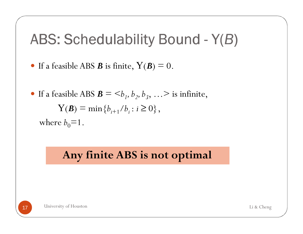# ABS: Schedulability Bound - Y(*B*)

- If a feasible ABS *B* is finite,  $Y(B) = 0$ .
- If a feasible ABS  $\mathbf{B} = \langle b_1, b_2, b_3, \ldots \rangle$  is infinite,  $\mathbf{Y}(\mathcal{B}) \equiv \min\left\{b_{i+1}/b_i : i \geq 0\right\},$ where  $b_0=1$ .

#### **Any finite ABS is not optimal**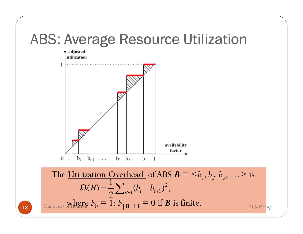### ABS: Average Resource Utilization

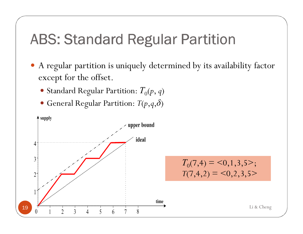### ABS: Standard Regular Partition

- A regular partition is uniquely determined by its availability factor except for the offset.
	- Standard Regular Partition:  $T_0(p, q)$
	- $\bullet$  General Regular Partition:  $T(p,q,\delta)$

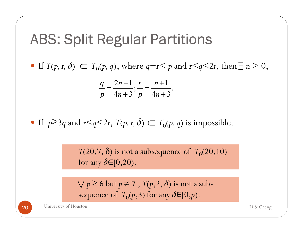### ABS: Split Regular Partitions

 $\bullet$  If *T*(*p*, *r*,  $\delta$ ) ⊂ *T*<sub>0</sub>(*p*, *q*), where *q*+*r*< *p* and *r*<*q*<2*r*, then  $\exists$  *n* > 0,

$$
\frac{q}{p} = \frac{2n+1}{4n+3}; \frac{r}{p} = \frac{n+1}{4n+3}.
$$

• If  $p \geq 3q$  and  $r \leq q \leq 2r$ ,  $T(p, r, \delta)$  ⊂  $T_0(p, q)$  is impossible.

 $T(20,7,\delta)$  is not a subsequence of  $\; T_0(20,10) \;$ for any *δ*∈[0,20).

 $\forall$   $p \ge 6$  but  $p \ne 7$  ,  $T(p,2,\delta)$  is not a subsequence of  $\, T_0(p,3)$  for any  $\delta \mathsf{E}[0,p).$ 

20 University of Houston **O** University of Houston Li & Cheng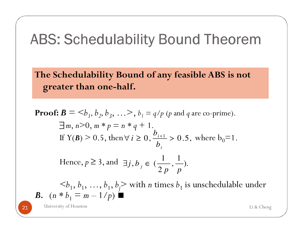### ABS: Schedulability Bound Theorem

**The Schedulability Bound of any feasible ABS is not greater than one-half.**

**Proof:** 
$$
\mathbf{B} = \langle b_1, b_2, b_3, \ldots \rangle
$$
,  $b_1 = q/p$  (*p* and *q* are co-prime). \n\n $\exists m, n > 0, m * p = n * q + 1.$  \n\nIf  $Y(\mathbf{B}) > 0.5$ , then  $\forall i \geq 0, \frac{b_{i+1}}{b_i} > 0.5$ , where  $b_0 = 1$ . \n\nHence,  $p \geq 3$ , and  $\exists j, b_j \in (\frac{1}{2p}, \frac{1}{p})$ . \n\n $\langle b_1, b_1, \ldots, b_1, b_j \rangle$  with *n* times  $b_1$  is unscheduledable under \n\n**B.** \n $(n * b_1 = m - 1/p)$  \n\nThis is the following. \n\nThis is the following. \n\nThis is the same as follows:\n\n
$$
\begin{aligned}\n\mathbf{B} \cdot \mathbf{B} &= \frac{1}{p} \mathbf{B} \\
\mathbf{B} \cdot \mathbf{B} &= \frac{1}{p} \mathbf{B} \\
\mathbf{B} \cdot \mathbf{B} &= \frac{1}{p} \mathbf{B} \\
\mathbf{B} \cdot \mathbf{B} &= \frac{1}{p} \mathbf{B} \\
\mathbf{B} \cdot \mathbf{B} &= \frac{1}{p} \mathbf{B} \\
\mathbf{B} \cdot \mathbf{B} &= \frac{1}{p} \mathbf{B} \\
\mathbf{B} \cdot \mathbf{B} &= \frac{1}{p} \mathbf{B} \\
\mathbf{B} \cdot \mathbf{B} &= \frac{1}{p} \mathbf{B} \\
\mathbf{B} \cdot \mathbf{B} &= \frac{1}{p} \mathbf{B} \\
\mathbf{B} \cdot \mathbf{B} &= \frac{1}{p} \mathbf{B} \\
\mathbf{B} \cdot \mathbf{B} &= \frac{1}{p} \mathbf{B} \\
\mathbf{B} \cdot \mathbf{B} &= \frac{1}{p} \mathbf{B} \\
\mathbf{B
$$

21 University of Houston 1 Iniversity of Houston Li & Cheng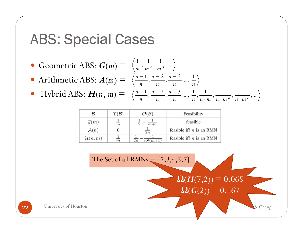### ABS: Special Cases

- Geometric ABS:  $G(m)$  = ,... 1 , 1 , 1 $m$ <sup>2</sup>  $m$ <sup>2</sup>
- Arithmetic ABS:  $A(m)$  = the contract of the contract of the contract of the contract of the contract of the contract of the contract of *nn* $\frac{-2}{n}$ ,  $\frac{n}{n}$  $\frac{n-1}{n}$ ,  $\frac{n}{n}$  $\frac{n-1}{n}, \frac{n-2}{n}, \frac{n-3}{n}, \dots, \frac{1}{n}$  $\frac{n-3}{2}$ 2 ,  $\frac{-1}{n-2}$   $\frac{n-2}{n-2}$
- Hybrid ABS:  $H(n, m)$  = , 1 $\begin{array}{ccc} \cdot & \cdot & \cdot & \cdot & \cdot \\ \cdot & \cdot & \cdot & \cdot & \cdot \\ \cdot & \cdot & \cdot & \cdot & \cdot \\ \cdot & \cdot & \cdot & \cdot & \cdot \end{array}$  $\frac{n-1}{n}$ ,  $\frac{n}{n}$ *n*

| B                  | $\Upsilon(\mathcal{B})$ | $\mathcal{O}(\mathcal{B})$     | Feasibility                |
|--------------------|-------------------------|--------------------------------|----------------------------|
| $\mathcal{G}(m)$   | $_{m}$                  | $m+1$                          | feasible                   |
| $\mathcal{A}(n)$   |                         | $\overline{2n}$                | feasible iff $n$ is an RMN |
| $\mathcal{H}(n,m)$ | $_{m}$                  | $\overline{2n}$<br>$^{2}(m+1)$ | feasible iff $n$ is an RMN |



,...

1

,

1

 $\cdot m$   $n \cdot m$   $n \cdot n$ 

,

1,

1

,...,

 $\frac{n-3}{2}$ 

−

2

 $\frac{-2}{n}$ ,  $\frac{n}{n}$ 

22 University of Houston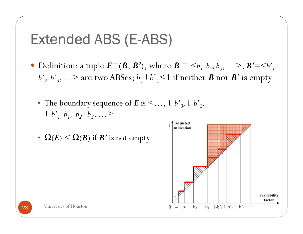### Extended ABS (E-ABS)

- Definition: a tuple  $E=(B, B')$ , where  $B = \langle b_1, b_2, b_3, \ldots \rangle$ ,  $B' = \langle b'_1, b'_2, b'_3, \ldots \rangle$  $b'$ <sub>2</sub>,  $b'$ <sub>3</sub>, …> are two ABSes;  $b_1$ + $b'$ <sub>1</sub><1 if neither *B* nor *B***'** is empty
	- The boundary sequence of  $E$  is  $\leq \dots$ , 1-b'<sub>2</sub>, 1-b'<sub>2</sub>  $1-b^{\prime}$ <sup>*l*</sup><sub>1</sub>, *b*<sub>1</sub>, *b*<sub>2</sub>, *b*<sub>3</sub>, ...>
	- $\Omega(E) \le \Omega(\mathcal{B})$  if  $\mathcal{B}'$  is not empty

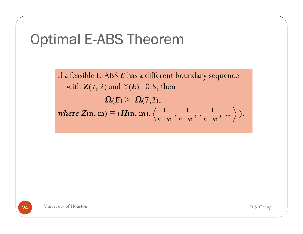

If a feasible E-ABS *E* has a different boundary sequence with  $Z(7, 2)$  and  $Y(E)=0.5$ , then  $\Omega(E) > \Omega(7,2),$  $where Z(n, m) = (H(n, m), \left\langle \frac{1}{n+m}, \frac{1}{n+m^2}, \frac{1}{n+m^3}, \dots \right\rangle).$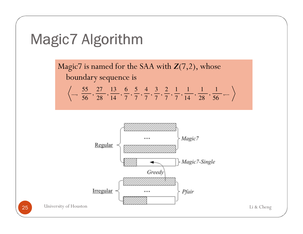

Magic7 is named for the SAA with *Z*(7,2), whose boundary sequence is

$$
\left\langle ..., \frac{55}{56}, \frac{27}{28}, \frac{13}{14}, \frac{6}{7}, \frac{5}{7}, \frac{4}{7}, \frac{3}{7}, \frac{2}{7}, \frac{1}{7}, \frac{1}{14}, \frac{1}{28}, \frac{1}{56}, \dots \right\rangle
$$

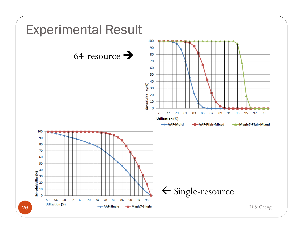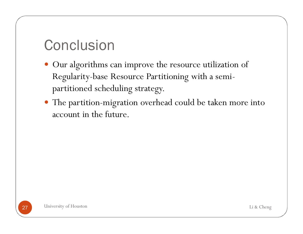### **Conclusion**

- Our algorithms can improve the resource utilization of Regularity-base Resource Partitioning with a semipartitioned scheduling strategy.
- The partition-migration overhead could be taken more into account in the future.